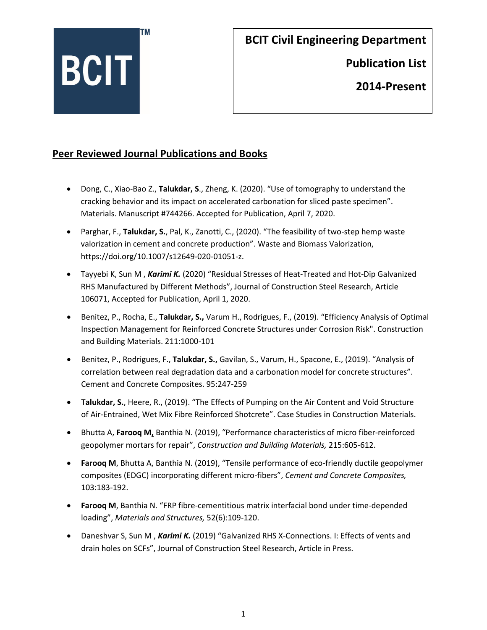

**Publication List** 

**2014-Present**

#### **Peer Reviewed Journal Publications and Books**

- Dong, C., Xiao-Bao Z., **Talukdar, S**., Zheng, K. (2020). "Use of tomography to understand the cracking behavior and its impact on accelerated carbonation for sliced paste specimen". Materials. Manuscript #744266. Accepted for Publication, April 7, 2020.
- Parghar, F., **Talukdar, S.**, Pal, K., Zanotti, C., (2020). "The feasibility of two-step hemp waste valorization in cement and concrete production". Waste and Biomass Valorization, https://doi.org/10.1007/s12649-020-01051-z.
- Tayyebi K, Sun M , *Karimi K.* (2020) "Residual Stresses of Heat-Treated and Hot-Dip Galvanized RHS Manufactured by Different Methods", Journal of Construction Steel Research, Article 106071, Accepted for Publication, April 1, 2020.
- Benitez, P., Rocha, E., **Talukdar, S.,** Varum H., Rodrigues, F., (2019). "Efficiency Analysis of Optimal Inspection Management for Reinforced Concrete Structures under Corrosion Risk". Construction and Building Materials. 211:1000-101
- Benitez, P., Rodrigues, F., **Talukdar, S.,** Gavilan, S., Varum, H., Spacone, E., (2019). "Analysis of correlation between real degradation data and a carbonation model for concrete structures". Cement and Concrete Composites. 95:247-259
- **Talukdar, S.**, Heere, R., (2019). "The Effects of Pumping on the Air Content and Void Structure of Air-Entrained, Wet Mix Fibre Reinforced Shotcrete". Case Studies in Construction Materials.
- Bhutta A, **Farooq M,** Banthia N. (2019), "Performance characteristics of micro fiber-reinforced geopolymer mortars for repair", *Construction and Building Materials,* 215:605-612.
- **Farooq M**, Bhutta A, Banthia N. (2019), "Tensile performance of eco-friendly ductile geopolymer composites (EDGC) incorporating different micro-fibers", *Cement and Concrete Composites,*  103:183-192.
- **Farooq M**, Banthia N. "FRP fibre-cementitious matrix interfacial bond under time-depended loading", *Materials and Structures,* 52(6):109-120.
- Daneshvar S, Sun M , *Karimi K.* (2019) "Galvanized RHS X-Connections. I: Effects of vents and drain holes on SCFs", Journal of Construction Steel Research, Article in Press.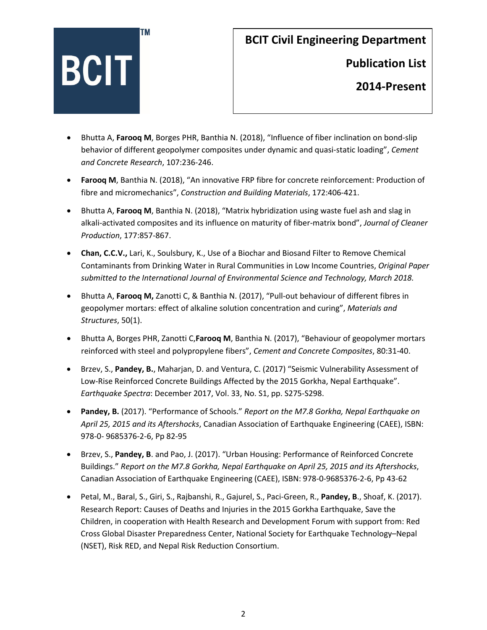

**Publication List** 

- Bhutta A, **Farooq M**, Borges PHR, Banthia N. (2018), "Influence of fiber inclination on bond-slip behavior of different geopolymer composites under dynamic and quasi-static loading", *Cement and Concrete Research*, 107:236-246.
- **Farooq M**, Banthia N. (2018), "An innovative FRP fibre for concrete reinforcement: Production of fibre and micromechanics", *Construction and Building Materials*, 172:406-421.
- Bhutta A, **Farooq M**, Banthia N. (2018), "Matrix hybridization using waste fuel ash and slag in alkali-activated composites and its influence on maturity of fiber-matrix bond", *Journal of Cleaner Production*, 177:857-867.
- **Chan, C.C.V.,** Lari, K., Soulsbury, K., Use of a Biochar and Biosand Filter to Remove Chemical Contaminants from Drinking Water in Rural Communities in Low Income Countries, *Original Paper submitted to the International Journal of Environmental Science and Technology, March 2018.*
- Bhutta A, **Farooq M,** Zanotti C, & Banthia N. (2017), "Pull-out behaviour of different fibres in geopolymer mortars: effect of alkaline solution concentration and curing", *Materials and Structures*, 50(1).
- Bhutta A, Borges PHR, Zanotti C,**Farooq M**, Banthia N. (2017), "Behaviour of geopolymer mortars reinforced with steel and polypropylene fibers", *Cement and Concrete Composites*, 80:31-40.
- Brzev, S., **Pandey, B.**, Maharjan, D. and Ventura, C. (2017) "Seismic Vulnerability Assessment of Low-Rise Reinforced Concrete Buildings Affected by the 2015 Gorkha, Nepal Earthquake". *Earthquake Spectra*: December 2017, Vol. 33, No. S1, pp. S275-S298.
- **Pandey, B.** (2017). "Performance of Schools." *Report on the M7.8 Gorkha, Nepal Earthquake on April 25, 2015 and its Aftershocks*, Canadian Association of Earthquake Engineering (CAEE), ISBN: 978-0- 9685376-2-6, Pp 82-95
- Brzev, S., **Pandey, B**. and Pao, J. (2017). "Urban Housing: Performance of Reinforced Concrete Buildings." *Report on the M7.8 Gorkha, Nepal Earthquake on April 25, 2015 and its Aftershocks*, Canadian Association of Earthquake Engineering (CAEE), ISBN: 978-0-9685376-2-6, Pp 43-62
- Petal, M., Baral, S., Giri, S., Rajbanshi, R., Gajurel, S., Paci-Green, R., **Pandey, B**., Shoaf, K. (2017). Research Report: Causes of Deaths and Injuries in the 2015 Gorkha Earthquake, Save the Children, in cooperation with Health Research and Development Forum with support from: Red Cross Global Disaster Preparedness Center, National Society for Earthquake Technology–Nepal (NSET), Risk RED, and Nepal Risk Reduction Consortium.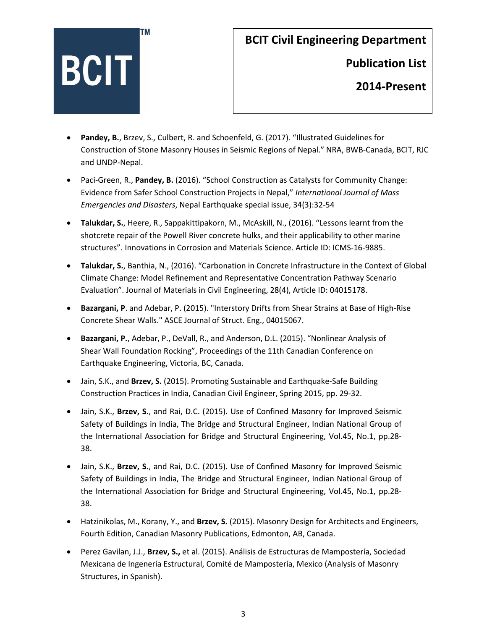

**Publication List** 

- **Pandey, B.**, Brzev, S., Culbert, R. and Schoenfeld, G. (2017). "Illustrated Guidelines for Construction of Stone Masonry Houses in Seismic Regions of Nepal." NRA, BWB-Canada, BCIT, RJC and UNDP-Nepal.
- Paci-Green, R., **Pandey, B.** (2016). "School Construction as Catalysts for Community Change: Evidence from Safer School Construction Projects in Nepal," *International Journal of Mass Emergencies and Disasters*, Nepal Earthquake special issue, 34(3):32-54
- **Talukdar, S.**, Heere, R., Sappakittipakorn, M., McAskill, N., (2016). "Lessons learnt from the shotcrete repair of the Powell River concrete hulks, and their applicability to other marine structures". Innovations in Corrosion and Materials Science. Article ID: ICMS-16-9885.
- **Talukdar, S.**, Banthia, N., (2016). "Carbonation in Concrete Infrastructure in the Context of Global Climate Change: Model Refinement and Representative Concentration Pathway Scenario Evaluation". Journal of Materials in Civil Engineering, 28(4), Article ID: 04015178.
- **Bazargani, P**. and Adebar, P. (2015). "Interstory Drifts from Shear Strains at Base of High-Rise Concrete Shear Walls." ASCE Journal of Struct. Eng., 04015067.
- **Bazargani, P.**, Adebar, P., DeVall, R., and Anderson, D.L. (2015). "Nonlinear Analysis of Shear Wall Foundation Rocking", Proceedings of the 11th Canadian Conference on Earthquake Engineering, Victoria, BC, Canada.
- Jain, S.K., and **Brzev, S.** (2015). Promoting Sustainable and Earthquake-Safe Building Construction Practices in India, Canadian Civil Engineer, Spring 2015, pp. 29-32.
- Jain, S.K., **Brzev, S.**, and Rai, D.C. (2015). Use of Confined Masonry for Improved Seismic Safety of Buildings in India, The Bridge and Structural Engineer, Indian National Group of the International Association for Bridge and Structural Engineering, Vol.45, No.1, pp.28- 38.
- Jain, S.K., **Brzev, S.**, and Rai, D.C. (2015). Use of Confined Masonry for Improved Seismic Safety of Buildings in India, The Bridge and Structural Engineer, Indian National Group of the International Association for Bridge and Structural Engineering, Vol.45, No.1, pp.28- 38.
- Hatzinikolas, M., Korany, Y., and **Brzev, S.** (2015). Masonry Design for Architects and Engineers, Fourth Edition, Canadian Masonry Publications, Edmonton, AB, Canada.
- Perez Gavilan, J.J., **Brzev, S.,** et al. (2015). Análisis de Estructuras de Mampostería, Sociedad Mexicana de Ingenería Estructural, Comité de Mampostería, Mexico (Analysis of Masonry Structures, in Spanish).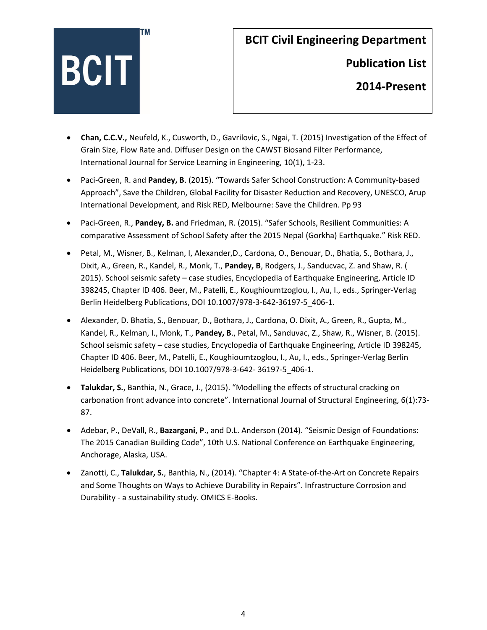

**Publication List** 

- **Chan, C.C.V.,** Neufeld, K., Cusworth, D., Gavrilovic, S., Ngai, T*.* (2015) Investigation of the Effect of Grain Size, Flow Rate and. Diffuser Design on the CAWST Biosand Filter Performance, International Journal for Service Learning in Engineering, 10(1), 1-23.
- Paci-Green, R. and **Pandey, B**. (2015). "Towards Safer School Construction: A Community-based Approach", Save the Children, Global Facility for Disaster Reduction and Recovery, UNESCO, Arup International Development, and Risk RED, Melbourne: Save the Children. Pp 93
- Paci-Green, R., **Pandey, B.** and Friedman, R. (2015). "Safer Schools, Resilient Communities: A comparative Assessment of School Safety after the 2015 Nepal (Gorkha) Earthquake." Risk RED.
- Petal, M., Wisner, B., Kelman, I, Alexander,D., Cardona, O., Benouar, D., Bhatia, S., Bothara, J., Dixit, A., Green, R., Kandel, R., Monk, T., **Pandey, B**, Rodgers, J., Sanducvac, Z. and Shaw, R. ( 2015). School seismic safety – case studies, Encyclopedia of Earthquake Engineering, Article ID 398245, Chapter ID 406. Beer, M., Patelli, E., Koughioumtzoglou, I., Au, I., eds., Springer-Verlag Berlin Heidelberg Publications, DOI 10.1007/978-3-642-36197-5\_406-1.
- Alexander, D. Bhatia, S., Benouar, D., Bothara, J., Cardona, O. Dixit, A., Green, R., Gupta, M., Kandel, R., Kelman, I., Monk, T., **Pandey, B**., Petal, M., Sanduvac, Z., Shaw, R., Wisner, B. (2015). School seismic safety – case studies, Encyclopedia of Earthquake Engineering, Article ID 398245, Chapter ID 406. Beer, M., Patelli, E., Koughioumtzoglou, I., Au, I., eds., Springer-Verlag Berlin Heidelberg Publications, DOI 10.1007/978-3-642- 36197-5\_406-1.
- **Talukdar, S.**, Banthia, N., Grace, J., (2015). "Modelling the effects of structural cracking on carbonation front advance into concrete". International Journal of Structural Engineering, 6(1):73- 87.
- Adebar, P., DeVall, R., **Bazargani, P**., and D.L. Anderson (2014). "Seismic Design of Foundations: The 2015 Canadian Building Code", 10th U.S. National Conference on Earthquake Engineering, Anchorage, Alaska, USA.
- Zanotti, C., **Talukdar, S.**, Banthia, N., (2014). "Chapter 4: A State-of-the-Art on Concrete Repairs and Some Thoughts on Ways to Achieve Durability in Repairs". Infrastructure Corrosion and Durability - a sustainability study. OMICS E-Books.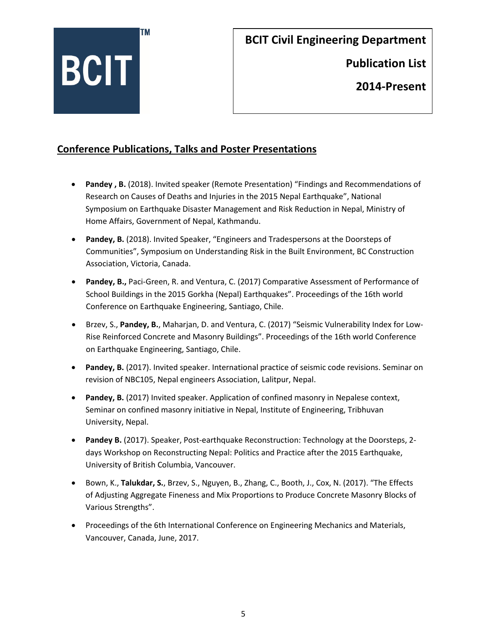

**Publication List** 

**2014-Present**

#### **Conference Publications, Talks and Poster Presentations**

- **Pandey , B.** (2018). Invited speaker (Remote Presentation) "Findings and Recommendations of Research on Causes of Deaths and Injuries in the 2015 Nepal Earthquake", National Symposium on Earthquake Disaster Management and Risk Reduction in Nepal, Ministry of Home Affairs, Government of Nepal, Kathmandu.
- **Pandey, B.** (2018). Invited Speaker, "Engineers and Tradespersons at the Doorsteps of Communities", Symposium on Understanding Risk in the Built Environment, BC Construction Association, Victoria, Canada.
- **Pandey, B.,** Paci-Green, R. and Ventura, C. (2017) Comparative Assessment of Performance of School Buildings in the 2015 Gorkha (Nepal) Earthquakes". Proceedings of the 16th world Conference on Earthquake Engineering, Santiago, Chile.
- Brzev, S., **Pandey, B.**, Maharjan, D. and Ventura, C. (2017) "Seismic Vulnerability Index for Low-Rise Reinforced Concrete and Masonry Buildings". Proceedings of the 16th world Conference on Earthquake Engineering, Santiago, Chile.
- **Pandey, B.** (2017). Invited speaker. International practice of seismic code revisions. Seminar on revision of NBC105, Nepal engineers Association, Lalitpur, Nepal.
- **Pandey, B.** (2017) Invited speaker. Application of confined masonry in Nepalese context, Seminar on confined masonry initiative in Nepal, Institute of Engineering, Tribhuvan University, Nepal.
- **Pandey B.** (2017). Speaker, Post-earthquake Reconstruction: Technology at the Doorsteps, 2 days Workshop on Reconstructing Nepal: Politics and Practice after the 2015 Earthquake, University of British Columbia, Vancouver.
- Bown, K., **Talukdar, S.**, Brzev, S., Nguyen, B., Zhang, C., Booth, J., Cox, N. (2017). "The Effects of Adjusting Aggregate Fineness and Mix Proportions to Produce Concrete Masonry Blocks of Various Strengths".
- Proceedings of the 6th International Conference on Engineering Mechanics and Materials, Vancouver, Canada, June, 2017.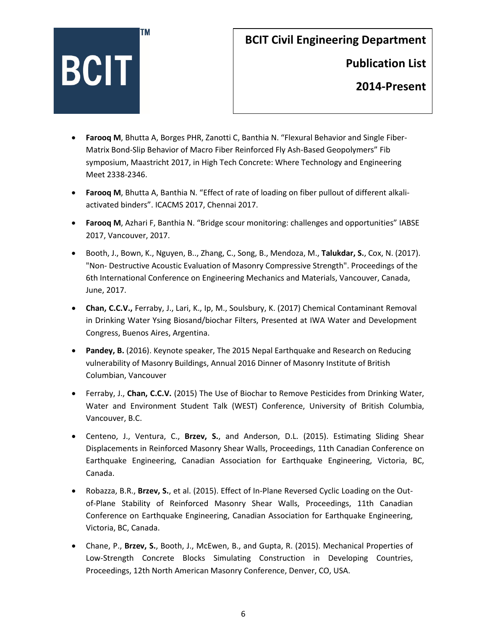

**Publication List** 

- **Farooq M**, Bhutta A, Borges PHR, Zanotti C, Banthia N. "Flexural Behavior and Single Fiber-Matrix Bond-Slip Behavior of Macro Fiber Reinforced Fly Ash-Based Geopolymers" Fib symposium, Maastricht 2017, in High Tech Concrete: Where Technology and Engineering Meet 2338-2346.
- **Farooq M**, Bhutta A, Banthia N. "Effect of rate of loading on fiber pullout of different alkaliactivated binders". ICACMS 2017, Chennai 2017.
- **Farooq M**, Azhari F, Banthia N. "Bridge scour monitoring: challenges and opportunities" IABSE 2017, Vancouver, 2017.
- Booth, J., Bown, K., Nguyen, B.., Zhang, C., Song, B., Mendoza, M., **Talukdar, S.**, Cox, N. (2017). "Non- Destructive Acoustic Evaluation of Masonry Compressive Strength". Proceedings of the 6th International Conference on Engineering Mechanics and Materials, Vancouver, Canada, June, 2017.
- **Chan, C.C.V.,** Ferraby, J., Lari, K., Ip, M., Soulsbury, K. (2017) Chemical Contaminant Removal in Drinking Water Ysing Biosand/biochar Filters, Presented at IWA Water and Development Congress, Buenos Aires, Argentina.
- **Pandey, B.** (2016). Keynote speaker, The 2015 Nepal Earthquake and Research on Reducing vulnerability of Masonry Buildings, Annual 2016 Dinner of Masonry Institute of British Columbian, Vancouver
- Ferraby, J., **Chan, C.C.V.** (2015) The Use of Biochar to Remove Pesticides from Drinking Water, Water and Environment Student Talk (WEST) Conference, University of British Columbia, Vancouver, B.C.
- Centeno, J., Ventura, C., **Brzev, S.**, and Anderson, D.L. (2015). Estimating Sliding Shear Displacements in Reinforced Masonry Shear Walls, Proceedings, 11th Canadian Conference on Earthquake Engineering, Canadian Association for Earthquake Engineering, Victoria, BC, Canada.
- Robazza, B.R., **Brzev, S.**, et al. (2015). Effect of In-Plane Reversed Cyclic Loading on the Outof-Plane Stability of Reinforced Masonry Shear Walls, Proceedings, 11th Canadian Conference on Earthquake Engineering, Canadian Association for Earthquake Engineering, Victoria, BC, Canada.
- Chane, P., **Brzev, S.**, Booth, J., McEwen, B., and Gupta, R. (2015). Mechanical Properties of Low-Strength Concrete Blocks Simulating Construction in Developing Countries, Proceedings, 12th North American Masonry Conference, Denver, CO, USA.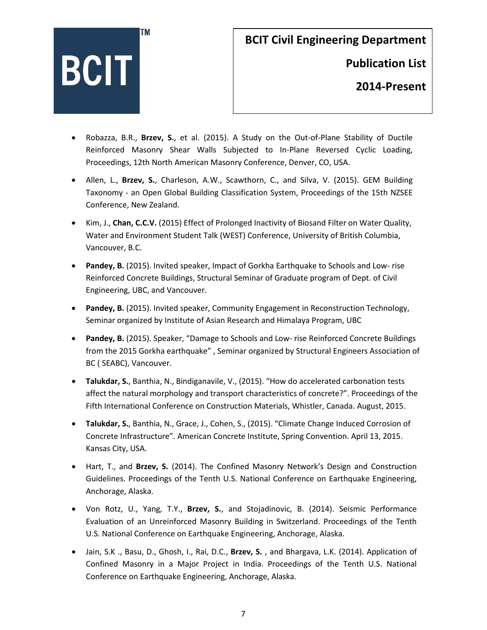

**Publication List** 

- Robazza, B.R., **Brzev, S.**, et al. (2015). A Study on the Out-of-Plane Stability of Ductile Reinforced Masonry Shear Walls Subjected to In-Plane Reversed Cyclic Loading, Proceedings, 12th North American Masonry Conference, Denver, CO, USA.
- Allen, L., **Brzev, S.**, Charleson, A.W., Scawthorn, C., and Silva, V. (2015). GEM Building Taxonomy - an Open Global Building Classification System, Proceedings of the 15th NZSEE Conference, New Zealand.
- Kim, J., **Chan, C.C.V.** (2015) Effect of Prolonged Inactivity of Biosand Filter on Water Quality, Water and Environment Student Talk (WEST) Conference, University of British Columbia, Vancouver, B.C.
- **Pandey, B.** (2015). Invited speaker, Impact of Gorkha Earthquake to Schools and Low- rise Reinforced Concrete Buildings, Structural Seminar of Graduate program of Dept. of Civil Engineering, UBC, and Vancouver.
- **Pandey, B.** (2015). Invited speaker, Community Engagement in Reconstruction Technology, Seminar organized by Institute of Asian Research and Himalaya Program, UBC
- **Pandey, B.** (2015). Speaker, "Damage to Schools and Low- rise Reinforced Concrete Buildings from the 2015 Gorkha earthquake" , Seminar organized by Structural Engineers Association of BC ( SEABC), Vancouver.
- **Talukdar, S.**, Banthia, N., Bindiganavile, V., (2015). "How do accelerated carbonation tests affect the natural morphology and transport characteristics of concrete?". Proceedings of the Fifth International Conference on Construction Materials, Whistler, Canada. August, 2015.
- **Talukdar, S.**, Banthia, N., Grace, J., Cohen, S., (2015). "Climate Change Induced Corrosion of Concrete Infrastructure". American Concrete Institute, Spring Convention. April 13, 2015. Kansas City, USA.
- Hart, T., and **Brzev, S.** (2014). The Confined Masonry Network's Design and Construction Guidelines. Proceedings of the Tenth U.S. National Conference on Earthquake Engineering, Anchorage, Alaska.
- Von Rotz, U., Yang, T.Y., **Brzev, S.**, and Stojadinovic, B. (2014). Seismic Performance Evaluation of an Unreinforced Masonry Building in Switzerland. Proceedings of the Tenth U.S. National Conference on Earthquake Engineering, Anchorage, Alaska.
- Jain, S.K ., Basu, D., Ghosh, I., Rai, D.C., **Brzev, S.** , and Bhargava, L.K. (2014). Application of Confined Masonry in a Major Project in India. Proceedings of the Tenth U.S. National Conference on Earthquake Engineering, Anchorage, Alaska.